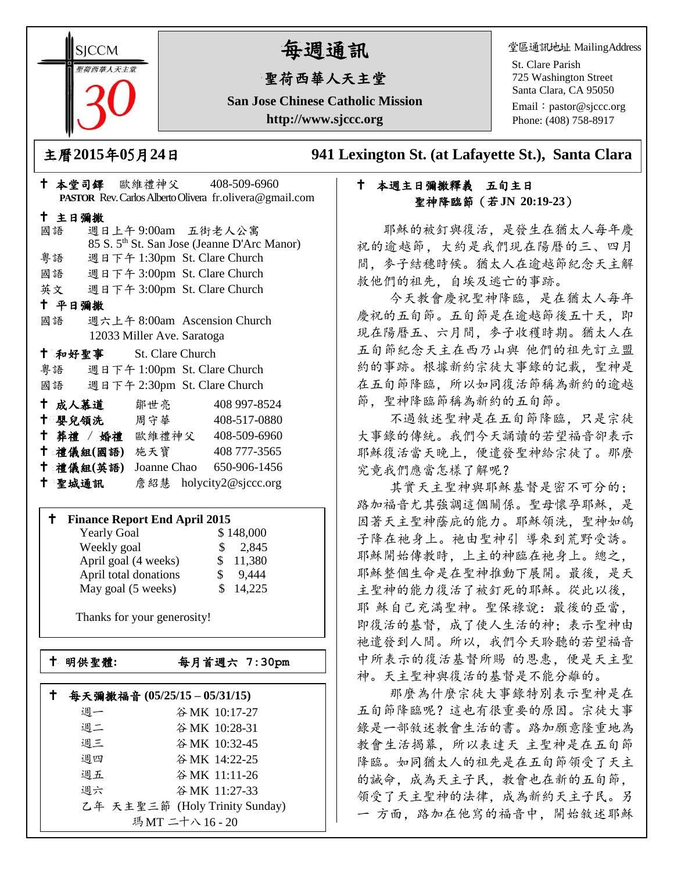**SICCM** 荷西華人天主?

# 每週通訊

# 聖荷西華人天主堂

**San Jose Chinese Catholic Mission http://www.sjccc.org**

堂區通訊地址 MailingAddress

St. Clare Parish 725 Washington Street Santa Clara, CA 95050

Email: [pastor@sjccc.org](mailto:pastor@sjccc.org) Phone: (408) 758-8917

主曆**2015**年**0**5月**24**日 **941 Lexington St. (at Lafayette St.), Santa Clara** 

#### 十 本週主日彌撒釋義 五旬主日 聖神降臨節(若**JN 20:19-23**)

 耶穌的被釘與復活,是發生在猶太人每年慶 祝的逾越節,大約是我們現在陽曆的三、四月 間,麥子結穗時候。猶太人在逾越節紀念天主解 救他們的祖先,自埃及逃亡的事跡。

 今天教會慶祝聖神降臨,是在猶太人每年 慶祝的五旬節。五旬節是在逾越節後五十天,即 現在陽曆五、六月間,麥子收穫時期。猶太人在 五旬節紀念天主在西乃山與 他們的祖先訂立盟 約的事跡。根據新約宗徒大事錄的記載,聖神是 在五旬節降臨,所以如同復活節稱為新約的逾越 節,聖神降臨節稱為新約的五旬節。

 不過敘述聖神是在五旬節降臨,只是宗徒 大事錄的傳統。我們今天誦讀的若望福音卻表示 耶穌復活當天晚上,便遣發聖神給宗徒了。那麼 究竟我們應當怎樣了解呢?

 其實天主聖神與耶穌基督是密不可分的; 路加福音尤其強調這個關係。聖母懷孕耶穌,是 因著天主聖神蔭庇的能力。耶穌領洗,聖神如鴿 子降在祂身上。祂由聖神引 導來到荒野受誘。 耶穌開始傳教時,上主的神臨在祂身上。總之, 耶穌整個生命是在聖神推動下展開。最後,是天 主聖神的能力復活了被釘死的耶穌。從此以後, 耶 穌自己充滿聖神。聖保祿說:最後的亞當, 即復活的基督,成了使人生活的神;表示聖神由 祂遣發到人間。所以,我們今天聆聽的若望福音 中所表示的復活基督所賜 的恩惠,便是天主聖 神。天主聖神與復活的基督是不能分離的。

 那麼為什麼宗徒大事錄特別表示聖神是在 五旬節降臨呢?這也有很重要的原因。宗徒大事 錄是一部敘述教會生活的書。路加願意隆重地為 教會生活揭幕,所以表達天 主聖神是在五旬節 降臨。如同猶太人的祖先是在五旬節領受了天主 的誡命,成為天主子民,教會也在新的五旬節, 領受了天主聖神的法律,成為新約天主子民。另 一 方面,路加在他寫的福音中,開始敘述耶穌

|                                    |                            | <b>PASTOR</b> Rev. Carlos Alberto Olivera fr. olivera @ gmail.com |
|------------------------------------|----------------------------|-------------------------------------------------------------------|
| 十 主日彌撒                             |                            |                                                                   |
| 國語                                 |                            | 週日上午9:00am 五街老人公寓                                                 |
|                                    |                            | 85 S. 5 <sup>th</sup> St. San Jose (Jeanne D'Arc Manor)           |
| 粤語                                 |                            | 週日下午 1:30pm St. Clare Church                                      |
| 國語 週日下午 3:00pm St. Clare Church    |                            |                                                                   |
| 英文 週日下午 3:00pm St. Clare Church    |                            |                                                                   |
| 十 平日彌撒                             |                            |                                                                   |
| 國語                                 |                            | 週六上午 8:00am Ascension Church                                      |
|                                    | 12033 Miller Ave. Saratoga |                                                                   |
| + 和好聖事 St. Clare Church            |                            |                                                                   |
| 粤語 週日下午 1:00pm St. Clare Church    |                            |                                                                   |
| 國語 週日下午 2:30pm St. Clare Church    |                            |                                                                   |
| † 成人慕道   鄒世亮───                    |                            | 408 997-8524                                                      |
| ← 嬰兒領洗──周守華──                      |                            | 408-517-0880                                                      |
| † 葬禮 / 婚禮 歐維禮神父 408-509-6960       |                            |                                                                   |
| 十 禮儀組(國語) 施天寶                      |                            | 408 777-3565                                                      |
| † 禮儀組(英語) Joanne Chao 650-906-1456 |                            |                                                                   |
| 十 聖城通訊                             |                            | 詹紹慧 holycity2@sjccc.org                                           |

本堂司鐸 歐維禮神父 408-509-6960

#### **Finance Report End April 2015**

| <b>Yearly Goal</b>    | \$148,000    |
|-----------------------|--------------|
| Weekly goal           | \$2,845      |
| April goal (4 weeks)  | 11,380<br>S. |
| April total donations | 9,444        |
| May goal (5 weeks)    | 14,225<br>S. |

Thanks for your generosity!

└<br>├

明供聖體**:**每月首週六 **7:30pm**

|    | 每天彌撒福音 (05/25/15-05/31/15)     |
|----|--------------------------------|
| 週一 | 谷MK 10:17-27                   |
| 週二 | 谷MK 10:28-31                   |
| 週三 | 谷MK 10:32-45                   |
| 週四 | 谷MK 14:22-25                   |
| 週五 | 谷MK 11:11-26                   |
| 週六 | 谷 MK 11:27-33                  |
|    | 乙年 天主聖三節 (Holy Trinity Sunday) |
|    | 瑪MT 二十八 16 - 20                |
|    |                                |